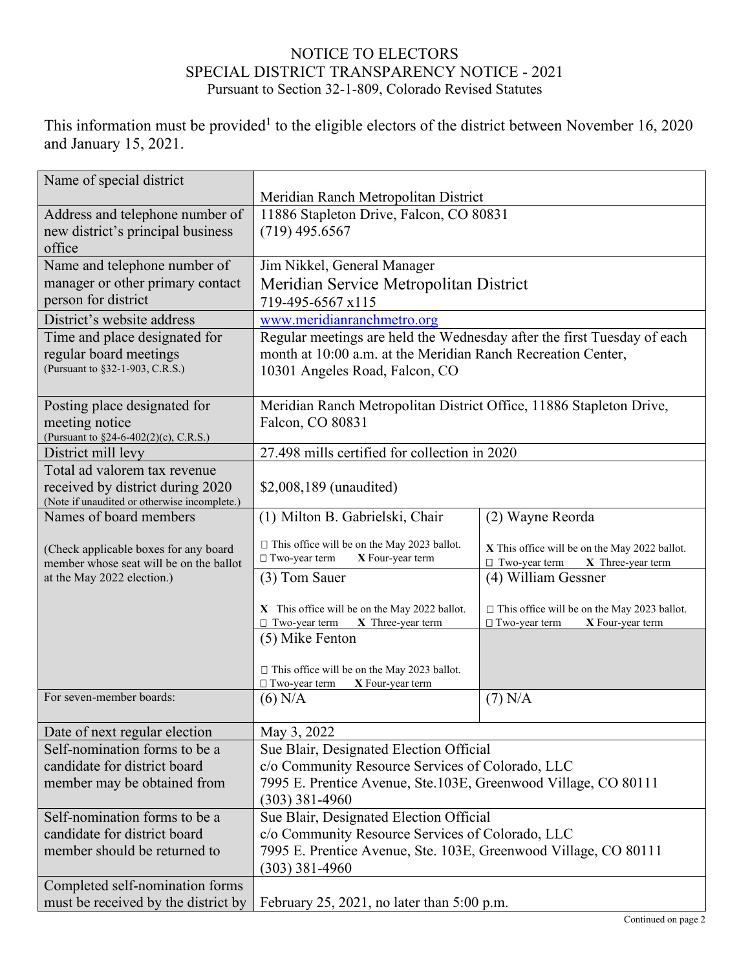## NOTICE TO ELECTORS SPECIAL DISTRICT TRANSPARENCY NOTICE - 2021 Pursuant to Section 32-1-809, Colorado Revised Statutes

This information must be provided<sup>1</sup> to the eligible electors of the district between November 16, 2020 and January 15, 2021.

| Name of special district                                                                   |                                                                                                                                                                           |                                                                                                |  |
|--------------------------------------------------------------------------------------------|---------------------------------------------------------------------------------------------------------------------------------------------------------------------------|------------------------------------------------------------------------------------------------|--|
|                                                                                            | Meridian Ranch Metropolitan District                                                                                                                                      |                                                                                                |  |
| Address and telephone number of<br>new district's principal business<br>office             | 11886 Stapleton Drive, Falcon, CO 80831<br>$(719)$ 495.6567                                                                                                               |                                                                                                |  |
| Name and telephone number of                                                               | Jim Nikkel, General Manager                                                                                                                                               |                                                                                                |  |
| manager or other primary contact                                                           | Meridian Service Metropolitan District                                                                                                                                    |                                                                                                |  |
| person for district                                                                        | 719-495-6567 x115                                                                                                                                                         |                                                                                                |  |
| District's website address                                                                 | www.meridianranchmetro.org                                                                                                                                                |                                                                                                |  |
| Time and place designated for<br>regular board meetings<br>(Pursuant to §32-1-903, C.R.S.) | Regular meetings are held the Wednesday after the first Tuesday of each<br>month at 10:00 a.m. at the Meridian Ranch Recreation Center,<br>10301 Angeles Road, Falcon, CO |                                                                                                |  |
| Posting place designated for                                                               | Meridian Ranch Metropolitan District Office, 11886 Stapleton Drive,                                                                                                       |                                                                                                |  |
| meeting notice                                                                             | Falcon, CO 80831                                                                                                                                                          |                                                                                                |  |
| (Pursuant to §24-6-402(2)(c), C.R.S.)                                                      | 27.498 mills certified for collection in 2020                                                                                                                             |                                                                                                |  |
| District mill levy<br>Total ad valorem tax revenue                                         |                                                                                                                                                                           |                                                                                                |  |
| received by district during 2020                                                           | \$2,008,189 (unaudited)                                                                                                                                                   |                                                                                                |  |
| (Note if unaudited or otherwise incomplete.)                                               |                                                                                                                                                                           |                                                                                                |  |
| Names of board members                                                                     | (1) Milton B. Gabrielski, Chair                                                                                                                                           | (2) Wayne Reorda                                                                               |  |
| (Check applicable boxes for any board<br>member whose seat will be on the ballot           | $\Box$ This office will be on the May 2023 ballot.<br>□ Two-year term<br>X Four-year term                                                                                 | X This office will be on the May 2022 ballot.<br>X Three-year term<br>$\Box$ Two-year term     |  |
| at the May 2022 election.)                                                                 | (3) Tom Sauer                                                                                                                                                             | (4) William Gessner                                                                            |  |
|                                                                                            | X This office will be on the May 2022 ballot.<br>$\Box$ Two-year term<br>X Three-year term                                                                                | $\Box$ This office will be on the May 2023 ballot.<br>$\Box$ Two-year term<br>X Four-year term |  |
|                                                                                            | (5) Mike Fenton                                                                                                                                                           |                                                                                                |  |
|                                                                                            | $\Box$ This office will be on the May 2023 ballot.<br>□ Two-year term<br>X Four-year term                                                                                 |                                                                                                |  |
| For seven-member boards:                                                                   | $(6)$ N/A                                                                                                                                                                 | $(7)$ N/A                                                                                      |  |
| Date of next regular election                                                              | May 3, 2022                                                                                                                                                               |                                                                                                |  |
| Self-nomination forms to be a                                                              | Sue Blair, Designated Election Official                                                                                                                                   |                                                                                                |  |
| candidate for district board                                                               | c/o Community Resource Services of Colorado, LLC                                                                                                                          |                                                                                                |  |
| member may be obtained from                                                                | 7995 E. Prentice Avenue, Ste.103E, Greenwood Village, CO 80111                                                                                                            |                                                                                                |  |
|                                                                                            | $(303)$ 381-4960                                                                                                                                                          |                                                                                                |  |
| Self-nomination forms to be a                                                              | Sue Blair, Designated Election Official                                                                                                                                   |                                                                                                |  |
| candidate for district board                                                               | c/o Community Resource Services of Colorado, LLC                                                                                                                          |                                                                                                |  |
| member should be returned to                                                               | 7995 E. Prentice Avenue, Ste. 103E, Greenwood Village, CO 80111<br>$(303)$ 381-4960                                                                                       |                                                                                                |  |
| Completed self-nomination forms                                                            |                                                                                                                                                                           |                                                                                                |  |
| must be received by the district by                                                        |                                                                                                                                                                           | February 25, 2021, no later than $5:00$ p.m.                                                   |  |